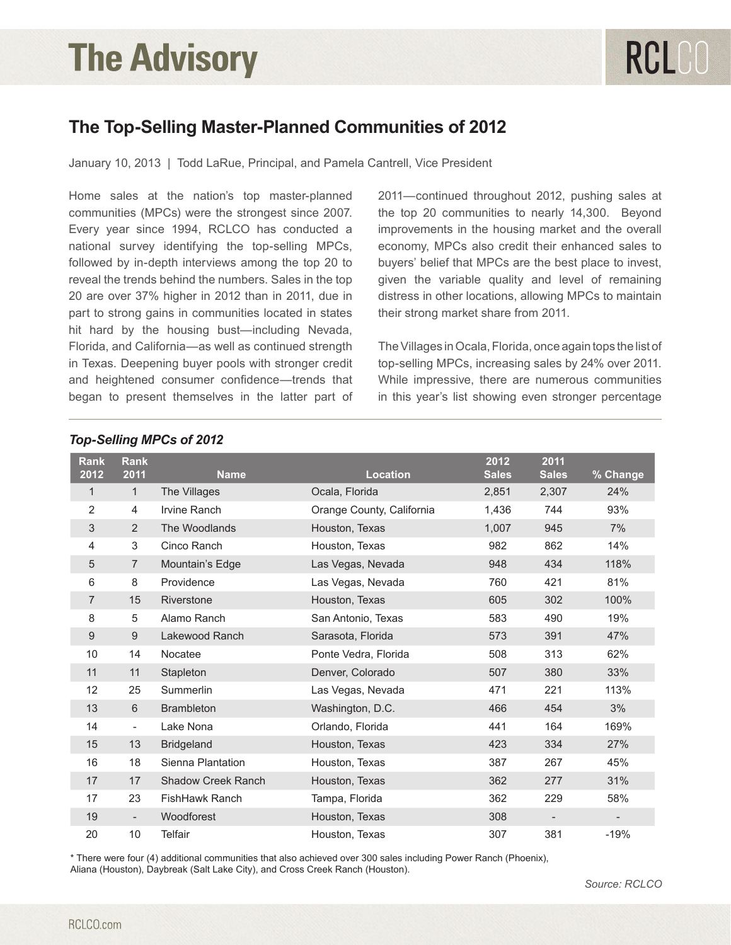## **The Advisory**

### **The Top-Selling Master-Planned Communities of 2012**

January 10, 2013 | Todd LaRue, Principal, and Pamela Cantrell, Vice President

Home sales at the nation's top master-planned communities (MPCs) were the strongest since 2007. Every year since 1994, RCLCO has conducted a national survey identifying the top-selling MPCs, followed by in-depth interviews among the top 20 to reveal the trends behind the numbers. Sales in the top 20 are over 37% higher in 2012 than in 2011, due in part to strong gains in communities located in states hit hard by the housing bust—including Nevada, Florida, and California—as well as continued strength in Texas. Deepening buyer pools with stronger credit and heightened consumer confidence—trends that began to present themselves in the latter part of 2011—continued throughout 2012, pushing sales at the top 20 communities to nearly 14,300. Beyond improvements in the housing market and the overall economy, MPCs also credit their enhanced sales to buyers' belief that MPCs are the best place to invest, given the variable quality and level of remaining distress in other locations, allowing MPCs to maintain their strong market share from 2011.

The Villages in Ocala, Florida, once again tops the list of top-selling MPCs, increasing sales by 24% over 2011. While impressive, there are numerous communities in this year's list showing even stronger percentage

| <b>Rank</b><br>2012 | <b>Rank</b><br>2011      | <b>Name</b>               | <b>Location</b>           | 2012<br><b>Sales</b> | 2011<br><b>Sales</b> | % Change |
|---------------------|--------------------------|---------------------------|---------------------------|----------------------|----------------------|----------|
| 1                   | $\mathbf{1}$             | The Villages              | Ocala, Florida            | 2,851                | 2,307                | 24%      |
| 2                   | 4                        | Irvine Ranch              | Orange County, California | 1,436                | 744                  | 93%      |
| 3                   | $\overline{2}$           | The Woodlands             | Houston, Texas            | 1,007                | 945                  | 7%       |
| 4                   | 3                        | Cinco Ranch               | Houston, Texas            | 982                  | 862                  | 14%      |
| 5                   | 7                        | Mountain's Edge           | Las Vegas, Nevada         | 948                  | 434                  | 118%     |
| 6                   | 8                        | Providence                | Las Vegas, Nevada         | 760                  | 421                  | 81%      |
| $\overline{7}$      | 15                       | Riverstone                | Houston, Texas            | 605                  | 302                  | 100%     |
| 8                   | 5                        | Alamo Ranch               | San Antonio, Texas        | 583                  | 490                  | 19%      |
| 9                   | $9\,$                    | Lakewood Ranch            | Sarasota, Florida         | 573                  | 391                  | 47%      |
| 10                  | 14                       | Nocatee                   | Ponte Vedra, Florida      | 508                  | 313                  | 62%      |
| 11                  | 11                       | Stapleton                 | Denver, Colorado          | 507                  | 380                  | 33%      |
| 12                  | 25                       | Summerlin                 | Las Vegas, Nevada         | 471                  | 221                  | 113%     |
| 13                  | 6                        | <b>Brambleton</b>         | Washington, D.C.          | 466                  | 454                  | 3%       |
| 14                  | $\overline{\phantom{a}}$ | Lake Nona                 | Orlando, Florida          | 441                  | 164                  | 169%     |
| 15                  | 13                       | <b>Bridgeland</b>         | Houston, Texas            | 423                  | 334                  | 27%      |
| 16                  | 18                       | Sienna Plantation         | Houston, Texas            | 387                  | 267                  | 45%      |
| 17                  | 17                       | <b>Shadow Creek Ranch</b> | Houston, Texas            | 362                  | 277                  | 31%      |
| 17                  | 23                       | FishHawk Ranch            | Tampa, Florida            | 362                  | 229                  | 58%      |
| 19                  | $\overline{\phantom{a}}$ | Woodforest                | Houston, Texas            | 308                  |                      |          |
| 20                  | 10                       | Telfair                   | Houston, Texas            | 307                  | 381                  | $-19%$   |

#### *Top-Selling MPCs of 2012*

\* There were four (4) additional communities that also achieved over 300 sales including Power Ranch (Phoenix),

Aliana (Houston), Daybreak (Salt Lake City), and Cross Creek Ranch (Houston).